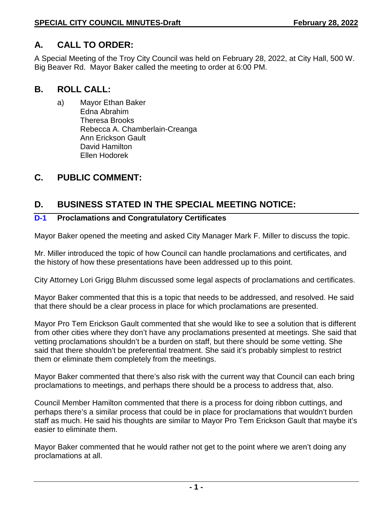#### **SPECIAL CITY COUNCIL MINUTES-Draft February 28, 2022**

## **A. CALL TO ORDER:**

A Special Meeting of the Troy City Council was held on February 28, 2022, at City Hall, 500 W. Big Beaver Rd. Mayor Baker called the meeting to order at 6:00 PM.

### **B. ROLL CALL:**

a) Mayor Ethan Baker Edna Abrahim Theresa Brooks Rebecca A. Chamberlain-Creanga Ann Erickson Gault David Hamilton Ellen Hodorek

# **C. PUBLIC COMMENT:**

# **D. BUSINESS STATED IN THE SPECIAL MEETING NOTICE:**

#### **D-1 Proclamations and Congratulatory Certificates**

Mayor Baker opened the meeting and asked City Manager Mark F. Miller to discuss the topic.

Mr. Miller introduced the topic of how Council can handle proclamations and certificates, and the history of how these presentations have been addressed up to this point.

City Attorney Lori Grigg Bluhm discussed some legal aspects of proclamations and certificates.

Mayor Baker commented that this is a topic that needs to be addressed, and resolved. He said that there should be a clear process in place for which proclamations are presented.

Mayor Pro Tem Erickson Gault commented that she would like to see a solution that is different from other cities where they don't have any proclamations presented at meetings. She said that vetting proclamations shouldn't be a burden on staff, but there should be some vetting. She said that there shouldn't be preferential treatment. She said it's probably simplest to restrict them or eliminate them completely from the meetings.

Mayor Baker commented that there's also risk with the current way that Council can each bring proclamations to meetings, and perhaps there should be a process to address that, also.

Council Member Hamilton commented that there is a process for doing ribbon cuttings, and perhaps there's a similar process that could be in place for proclamations that wouldn't burden staff as much. He said his thoughts are similar to Mayor Pro Tem Erickson Gault that maybe it's easier to eliminate them.

Mayor Baker commented that he would rather not get to the point where we aren't doing any proclamations at all.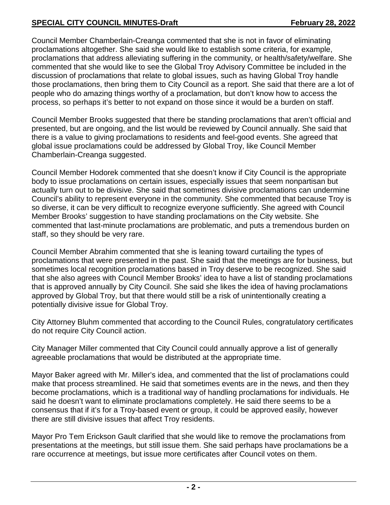Council Member Chamberlain-Creanga commented that she is not in favor of eliminating proclamations altogether. She said she would like to establish some criteria, for example, proclamations that address alleviating suffering in the community, or health/safety/welfare. She commented that she would like to see the Global Troy Advisory Committee be included in the discussion of proclamations that relate to global issues, such as having Global Troy handle those proclamations, then bring them to City Council as a report. She said that there are a lot of people who do amazing things worthy of a proclamation, but don't know how to access the process, so perhaps it's better to not expand on those since it would be a burden on staff.

Council Member Brooks suggested that there be standing proclamations that aren't official and presented, but are ongoing, and the list would be reviewed by Council annually. She said that there is a value to giving proclamations to residents and feel-good events. She agreed that global issue proclamations could be addressed by Global Troy, like Council Member Chamberlain-Creanga suggested.

Council Member Hodorek commented that she doesn't know if City Council is the appropriate body to issue proclamations on certain issues, especially issues that seem nonpartisan but actually turn out to be divisive. She said that sometimes divisive proclamations can undermine Council's ability to represent everyone in the community. She commented that because Troy is so diverse, it can be very difficult to recognize everyone sufficiently. She agreed with Council Member Brooks' suggestion to have standing proclamations on the City website. She commented that last-minute proclamations are problematic, and puts a tremendous burden on staff, so they should be very rare.

Council Member Abrahim commented that she is leaning toward curtailing the types of proclamations that were presented in the past. She said that the meetings are for business, but sometimes local recognition proclamations based in Troy deserve to be recognized. She said that she also agrees with Council Member Brooks' idea to have a list of standing proclamations that is approved annually by City Council. She said she likes the idea of having proclamations approved by Global Troy, but that there would still be a risk of unintentionally creating a potentially divisive issue for Global Troy.

City Attorney Bluhm commented that according to the Council Rules, congratulatory certificates do not require City Council action.

City Manager Miller commented that City Council could annually approve a list of generally agreeable proclamations that would be distributed at the appropriate time.

Mayor Baker agreed with Mr. Miller's idea, and commented that the list of proclamations could make that process streamlined. He said that sometimes events are in the news, and then they become proclamations, which is a traditional way of handling proclamations for individuals. He said he doesn't want to eliminate proclamations completely. He said there seems to be a consensus that if it's for a Troy-based event or group, it could be approved easily, however there are still divisive issues that affect Troy residents.

Mayor Pro Tem Erickson Gault clarified that she would like to remove the proclamations from presentations at the meetings, but still issue them. She said perhaps have proclamations be a rare occurrence at meetings, but issue more certificates after Council votes on them.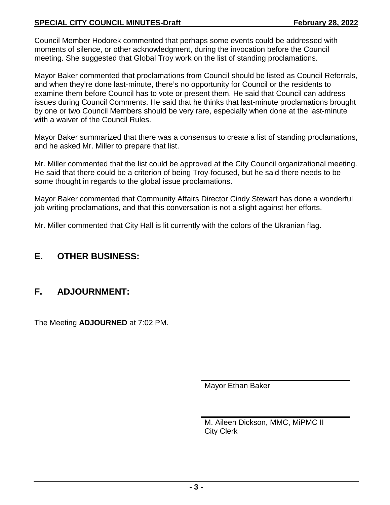#### **SPECIAL CITY COUNCIL MINUTES-Draft February 28, 2022**

Council Member Hodorek commented that perhaps some events could be addressed with moments of silence, or other acknowledgment, during the invocation before the Council meeting. She suggested that Global Troy work on the list of standing proclamations.

Mayor Baker commented that proclamations from Council should be listed as Council Referrals, and when they're done last-minute, there's no opportunity for Council or the residents to examine them before Council has to vote or present them. He said that Council can address issues during Council Comments. He said that he thinks that last-minute proclamations brought by one or two Council Members should be very rare, especially when done at the last-minute with a waiver of the Council Rules.

Mayor Baker summarized that there was a consensus to create a list of standing proclamations, and he asked Mr. Miller to prepare that list.

Mr. Miller commented that the list could be approved at the City Council organizational meeting. He said that there could be a criterion of being Troy-focused, but he said there needs to be some thought in regards to the global issue proclamations.

Mayor Baker commented that Community Affairs Director Cindy Stewart has done a wonderful job writing proclamations, and that this conversation is not a slight against her efforts.

Mr. Miller commented that City Hall is lit currently with the colors of the Ukranian flag.

## **E. OTHER BUSINESS:**

## **F. ADJOURNMENT:**

The Meeting **ADJOURNED** at 7:02 PM.

Mayor Ethan Baker

M. Aileen Dickson, MMC, MiPMC II City Clerk